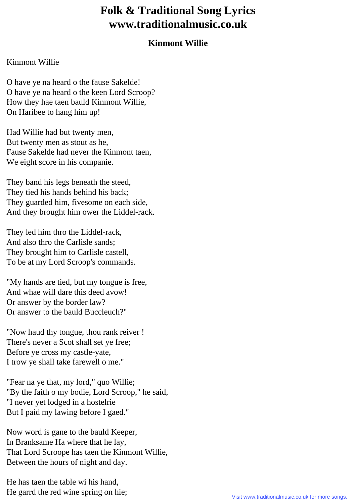## **Folk & Traditional Song Lyrics www.traditionalmusic.co.uk**

## **Kinmont Willie**

## Kinmont Willie

O have ye na heard o the fause Sakelde! O have ye na heard o the keen Lord Scroop? How they hae taen bauld Kinmont Willie, On Haribee to hang him up!

Had Willie had but twenty men, But twenty men as stout as he, Fause Sakelde had never the Kinmont taen, We eight score in his companie.

They band his legs beneath the steed, They tied his hands behind his back; They guarded him, fivesome on each side, And they brought him ower the Liddel-rack.

They led him thro the Liddel-rack, And also thro the Carlisle sands; They brought him to Carlisle castell, To be at my Lord Scroop's commands.

"My hands are tied, but my tongue is free, And whae will dare this deed avow! Or answer by the border law? Or answer to the bauld Buccleuch?"

"Now haud thy tongue, thou rank reiver ! There's never a Scot shall set ye free; Before ye cross my castle-yate, I trow ye shall take farewell o me."

"Fear na ye that, my lord," quo Willie; "By the faith o my bodie, Lord Scroop," he said, "I never yet lodged in a hostelrie But I paid my lawing before I gaed."

Now word is gane to the bauld Keeper, In Branksame Ha where that he lay, That Lord Scroope has taen the Kinmont Willie, Between the hours of night and day.

He has taen the table wi his hand, He garrd the red wine spring on hie;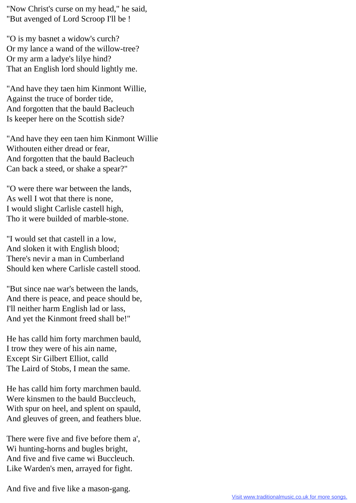"Now Christ's curse on my head," he said, "But avenged of Lord Scroop I'll be !

"O is my basnet a widow's curch? Or my lance a wand of the willow-tree? Or my arm a ladye's lilye hind? That an English lord should lightly me.

"And have they taen him Kinmont Willie, Against the truce of border tide, And forgotten that the bauld Bacleuch Is keeper here on the Scottish side?

"And have they een taen him Kinmont Willie Withouten either dread or fear, And forgotten that the bauld Bacleuch Can back a steed, or shake a spear?"

"O were there war between the lands, As well I wot that there is none, I would slight Carlisle castell high, Tho it were builded of marble-stone.

"I would set that castell in a low, And sloken it with English blood; There's nevir a man in Cumberland Should ken where Carlisle castell stood.

"But since nae war's between the lands, And there is peace, and peace should be, I'll neither harm English lad or lass, And yet the Kinmont freed shall be!"

He has calld him forty marchmen bauld, I trow they were of his ain name, Except Sir Gilbert Elliot, calld The Laird of Stobs, I mean the same.

He has calld him forty marchmen bauld. Were kinsmen to the bauld Buccleuch, With spur on heel, and splent on spauld. And gleuves of green, and feathers blue.

There were five and five before them a', Wi hunting-horns and bugles bright, And five and five came wi Buccleuch. Like Warden's men, arrayed for fight.

And five and five like a mason-gang.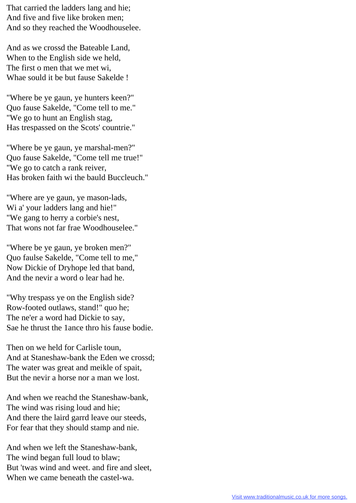That carried the ladders lang and hie; And five and five like broken men; And so they reached the Woodhouselee.

And as we crossd the Bateable Land, When to the English side we held, The first o men that we met wi, Whae sould it be but fause Sakelde !

"Where be ye gaun, ye hunters keen?" Quo fause Sakelde, "Come tell to me." "We go to hunt an English stag, Has trespassed on the Scots' countrie."

"Where be ye gaun, ye marshal-men?" Quo fause Sakelde, "Come tell me true!" "We go to catch a rank reiver, Has broken faith wi the bauld Buccleuch."

"Where are ye gaun, ye mason-lads, Wi a' your ladders lang and hie!" "We gang to herry a corbie's nest, That wons not far frae Woodhouselee."

"Where be ye gaun, ye broken men?" Quo faulse Sakelde, "Come tell to me," Now Dickie of Dryhope led that band, And the nevir a word o lear had he.

"Why trespass ye on the English side? Row-footed outlaws, stand!" quo he; The ne'er a word had Dickie to say, Sae he thrust the 1ance thro his fause bodie.

Then on we held for Carlisle toun, And at Staneshaw-bank the Eden we crossd; The water was great and meikle of spait, But the nevir a horse nor a man we lost.

And when we reachd the Staneshaw-bank, The wind was rising loud and hie; And there the laird garrd leave our steeds, For fear that they should stamp and nie.

And when we left the Staneshaw-bank, The wind began full loud to blaw; But 'twas wind and weet. and fire and sleet, When we came beneath the castel-wa.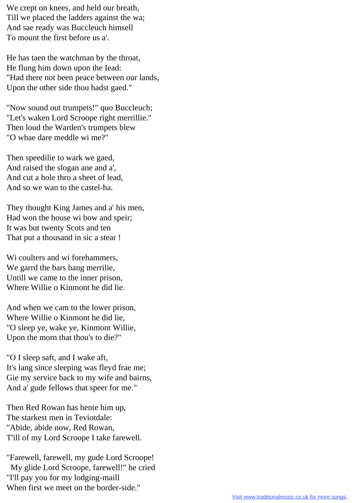We crept on knees, and held our breath, Till we placed the ladders against the wa; And sae ready was Buccleuch himsell To mount the first before us a'.

He has taen the watchman by the throat, He flung him down upon the Iead: "Had there not been peace between our lands, Upon the other side thou hadst gaed."

"Now sound out trumpets!" quo Buccleuch; "Let's waken Lord Scroope right merrillie." Then loud the Warden's trumpets blew "O whae dare meddle wi me?"

Then speedilie to wark we gaed, And raised the slogan ane and a', And cut a hole thro a sheet of lead, And so we wan to the castel-ha.

They thought King James and a' his men, Had won the house wi bow and speir; It was but twenty Scots and ten That put a thousand in sic a stear !

Wi coulters and wi forehammers, We garrd the bars bang merrilie, Untill we came to the inner prison, Where Willie o Kinmont he did lie.

And when we cam to the lower prison, Where Willie o Kinmont he did lie, "O sleep ye, wake ye, Kinmont Willie, Upon the morn that thou's to die?"

"O I sleep saft, and I wake aft, It's lang since sleeping was fleyd frae me; Gie my service back to my wife and bairns, And a' gude fellows that speer for me."

Then Red Rowan has hente him up, The starkest men in Teviotdale: "Abide, abide now, Red Rowan, T'ill of my Lord Scroope I take farewell.

"Farewell, farewell, my gude Lord Scroope! My glide Lord Scroope, farewell!" he cried "I'll pay you for my lodging-maill When first we meet on the border-side."